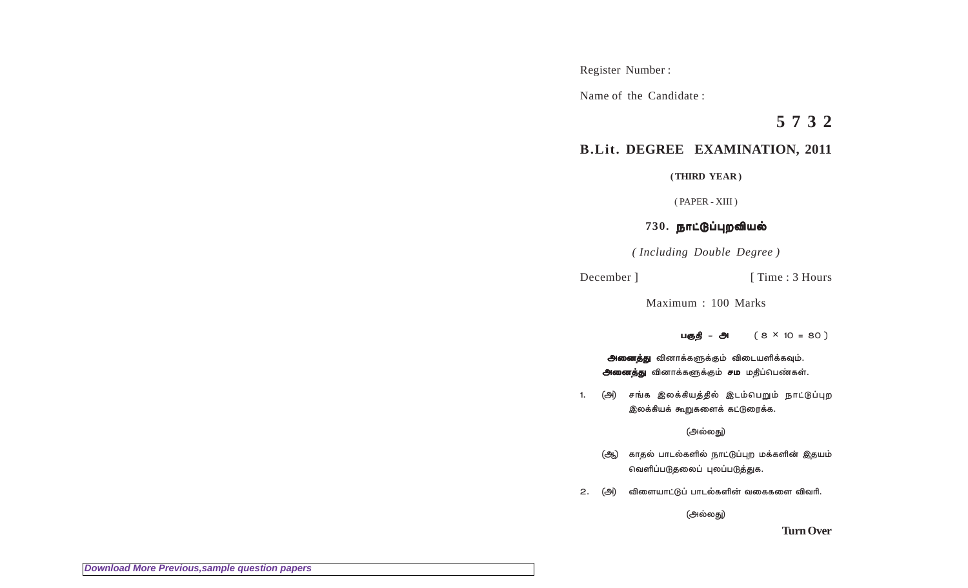Register Number :

Name of the Candidate :

**5 7 3 2**

## **B.Lit. DEGREE EXAMINATION, 2011**

**( THIRD YEAR )**

( PAPER - XIII )

## 730. நாட்டுப்புறவியல்

*( Including Double Degree )*

December ] [ Time : 3 Hours

Maximum : 100 Marks

√z] ä ∂ ( 8 ä ∂ **×** 10 = 80 )

<mark>அனைத்து</mark> வினாக்களுக்கும் விடையளிக்கவும். அனைத்து வினாக்களுக்கும் சம மதிப்பெண்கள்.

1. (அ) சங்க இலக்கியத்தில் இடம்பெறும் நாட்டுப்புற இலக்கியக் கூறுகளைக் கட்டுரைக்க.

(அல்லது)

- (ஆ) காதல் பாடல்களில் நாட்டுப்புற மக்களின் இதயம் வெளிப்படுதலைப் புலப்படுத்துக.
- 2. (அ) விளையாட்டுப் பாடல்களின் வகைகளை விவரி.

(அல்லது)

**Turn Over**